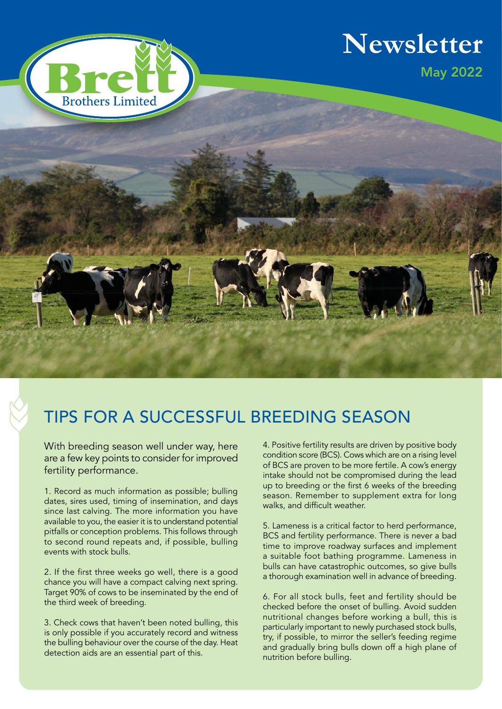

# **Newsletter**



## TIPS FOR A SUCCESSFUL BREEDING SEASON

With breeding season well under way, here are a few key points to consider for improved fertility performance.

1. Record as much information as possible; bulling dates, sires used, timing of insemination, and days since last calving. The more information you have available to you, the easier it is to understand potential pitfalls or conception problems. This follows through to second round repeats and, if possible, bulling events with stock bulls.

2. If the first three weeks go well, there is a good chance you will have a compact calving next spring. Target 90% of cows to be inseminated by the end of the third week of breeding.

3. Check cows that haven't been noted bulling, this is only possible if you accurately record and witness the bulling behaviour over the course of the day. Heat detection aids are an essential part of this.

4. Positive fertility results are driven by positive body condition score (BCS). Cows which are on a rising level of BCS are proven to be more fertile. A cow's energy intake should not be compromised during the lead up to breeding or the first 6 weeks of the breeding season. Remember to supplement extra for long walks, and difficult weather.

5. Lameness is a critical factor to herd performance, BCS and fertility performance. There is never a bad time to improve roadway surfaces and implement a suitable foot bathing programme. Lameness in bulls can have catastrophic outcomes, so give bulls a thorough examination well in advance of breeding.

6. For all stock bulls, feet and fertility should be checked before the onset of bulling. Avoid sudden nutritional changes before working a bull, this is particularly important to newly purchased stock bulls, try, if possible, to mirror the seller's feeding regime and gradually bring bulls down off a high plane of nutrition before bulling.